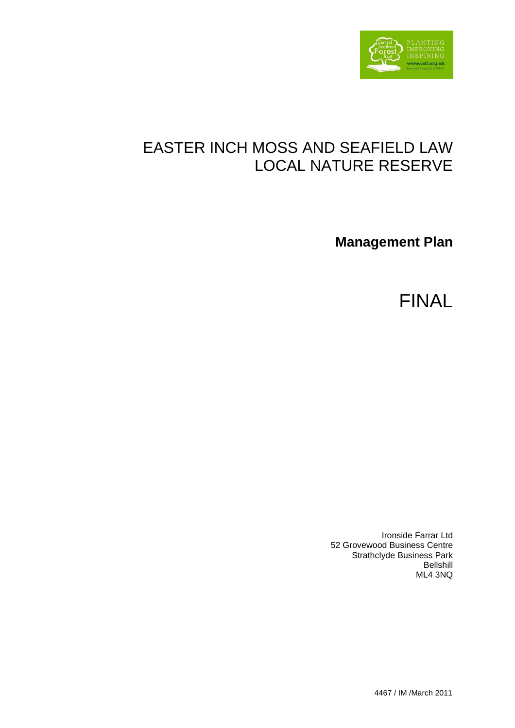

# EASTER INCH MOSS AND SEAFIELD LAW LOCAL NATURE RESERVE

**Management Plan** 

FINAL

Ironside Farrar Ltd 52 Grovewood Business Centre Strathclyde Business Park Bellshill ML4 3NQ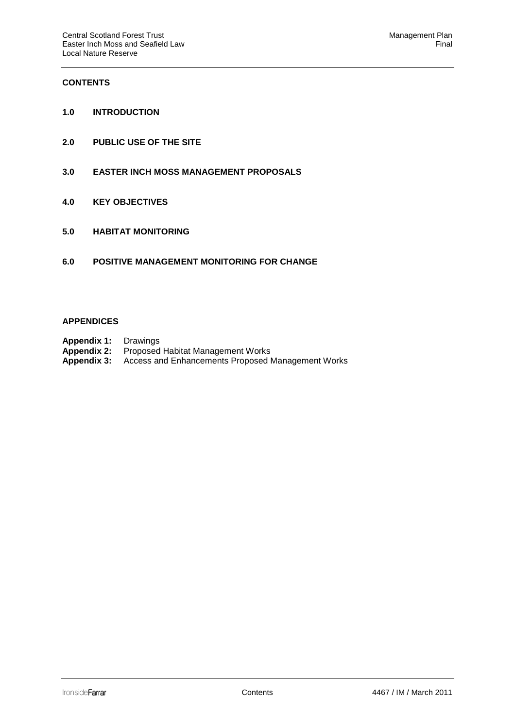# **CONTENTS**

- **1.0 INTRODUCTION**
- **2.0 PUBLIC USE OF THE SITE**
- **3.0 EASTER INCH MOSS MANAGEMENT PROPOSALS**
- **4.0 KEY OBJECTIVES**
- **5.0 HABITAT MONITORING**
- **6.0 POSITIVE MANAGEMENT MONITORING FOR CHANGE**

#### **APPENDICES**

- **Appendix 1:** Drawings
- **Appendix 2:** Proposed Habitat Management Works<br>**Appendix 3:** Access and Enhancements Proposed I
- Access and Enhancements Proposed Management Works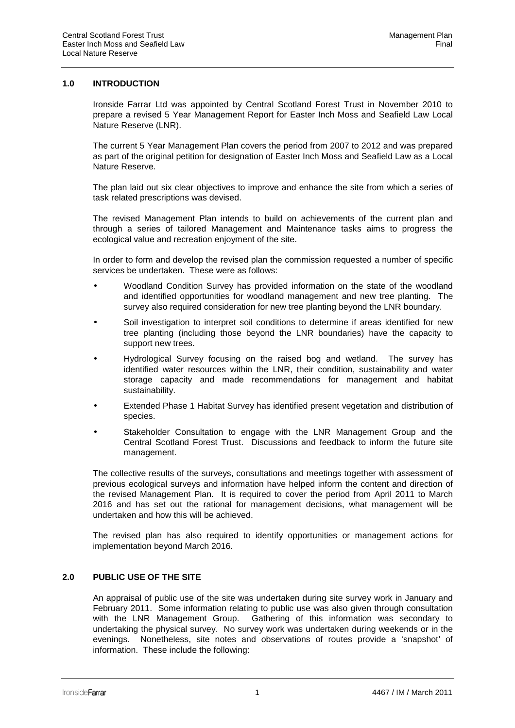# **1.0 INTRODUCTION**

 Ironside Farrar Ltd was appointed by Central Scotland Forest Trust in November 2010 to prepare a revised 5 Year Management Report for Easter Inch Moss and Seafield Law Local Nature Reserve (LNR).

 The current 5 Year Management Plan covers the period from 2007 to 2012 and was prepared as part of the original petition for designation of Easter Inch Moss and Seafield Law as a Local Nature Reserve.

 The plan laid out six clear objectives to improve and enhance the site from which a series of task related prescriptions was devised.

 The revised Management Plan intends to build on achievements of the current plan and through a series of tailored Management and Maintenance tasks aims to progress the ecological value and recreation enjoyment of the site.

 In order to form and develop the revised plan the commission requested a number of specific services be undertaken. These were as follows:

- Woodland Condition Survey has provided information on the state of the woodland and identified opportunities for woodland management and new tree planting. The survey also required consideration for new tree planting beyond the LNR boundary.
- Soil investigation to interpret soil conditions to determine if areas identified for new tree planting (including those beyond the LNR boundaries) have the capacity to support new trees.
- Hydrological Survey focusing on the raised bog and wetland. The survey has identified water resources within the LNR, their condition, sustainability and water storage capacity and made recommendations for management and habitat sustainability.
- Extended Phase 1 Habitat Survey has identified present vegetation and distribution of species.
- Stakeholder Consultation to engage with the LNR Management Group and the Central Scotland Forest Trust. Discussions and feedback to inform the future site management.

The collective results of the surveys, consultations and meetings together with assessment of previous ecological surveys and information have helped inform the content and direction of the revised Management Plan. It is required to cover the period from April 2011 to March 2016 and has set out the rational for management decisions, what management will be undertaken and how this will be achieved.

The revised plan has also required to identify opportunities or management actions for implementation beyond March 2016.

# **2.0 PUBLIC USE OF THE SITE**

 An appraisal of public use of the site was undertaken during site survey work in January and February 2011. Some information relating to public use was also given through consultation with the LNR Management Group. Gathering of this information was secondary to undertaking the physical survey. No survey work was undertaken during weekends or in the evenings. Nonetheless, site notes and observations of routes provide a 'snapshot' of information. These include the following: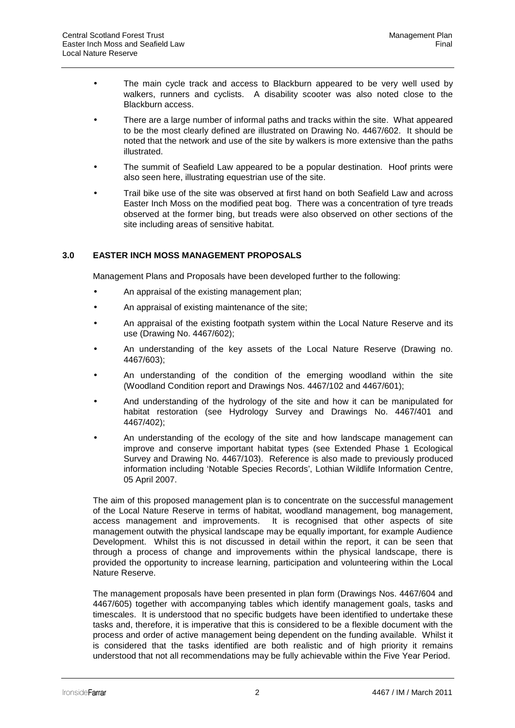- The main cycle track and access to Blackburn appeared to be very well used by walkers, runners and cyclists. A disability scooter was also noted close to the Blackburn access.
- There are a large number of informal paths and tracks within the site. What appeared to be the most clearly defined are illustrated on Drawing No. 4467/602. It should be noted that the network and use of the site by walkers is more extensive than the paths illustrated.
- The summit of Seafield Law appeared to be a popular destination. Hoof prints were also seen here, illustrating equestrian use of the site.
- Trail bike use of the site was observed at first hand on both Seafield Law and across Easter Inch Moss on the modified peat bog. There was a concentration of tyre treads observed at the former bing, but treads were also observed on other sections of the site including areas of sensitive habitat.

# **3.0 EASTER INCH MOSS MANAGEMENT PROPOSALS**

Management Plans and Proposals have been developed further to the following:

- An appraisal of the existing management plan;
- An appraisal of existing maintenance of the site;
- An appraisal of the existing footpath system within the Local Nature Reserve and its use (Drawing No. 4467/602);
- An understanding of the key assets of the Local Nature Reserve (Drawing no. 4467/603);
- An understanding of the condition of the emerging woodland within the site (Woodland Condition report and Drawings Nos. 4467/102 and 4467/601);
- And understanding of the hydrology of the site and how it can be manipulated for habitat restoration (see Hydrology Survey and Drawings No. 4467/401 and 4467/402);
- An understanding of the ecology of the site and how landscape management can improve and conserve important habitat types (see Extended Phase 1 Ecological Survey and Drawing No. 4467/103). Reference is also made to previously produced information including 'Notable Species Records', Lothian Wildlife Information Centre, 05 April 2007.

 The aim of this proposed management plan is to concentrate on the successful management of the Local Nature Reserve in terms of habitat, woodland management, bog management, access management and improvements. It is recognised that other aspects of site management outwith the physical landscape may be equally important, for example Audience Development. Whilst this is not discussed in detail within the report, it can be seen that through a process of change and improvements within the physical landscape, there is provided the opportunity to increase learning, participation and volunteering within the Local Nature Reserve.

 The management proposals have been presented in plan form (Drawings Nos. 4467/604 and 4467/605) together with accompanying tables which identify management goals, tasks and timescales. It is understood that no specific budgets have been identified to undertake these tasks and, therefore, it is imperative that this is considered to be a flexible document with the process and order of active management being dependent on the funding available. Whilst it is considered that the tasks identified are both realistic and of high priority it remains understood that not all recommendations may be fully achievable within the Five Year Period.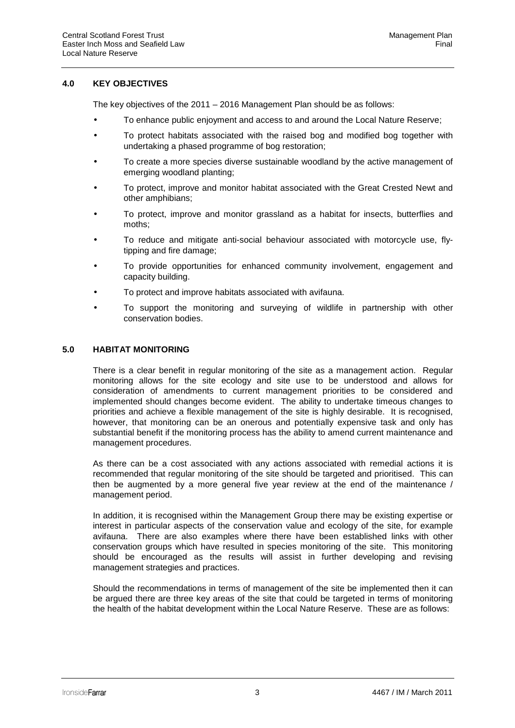# **4.0 KEY OBJECTIVES**

The key objectives of the 2011 – 2016 Management Plan should be as follows:

- To enhance public enjoyment and access to and around the Local Nature Reserve;
- To protect habitats associated with the raised bog and modified bog together with undertaking a phased programme of bog restoration;
- To create a more species diverse sustainable woodland by the active management of emerging woodland planting;
- To protect, improve and monitor habitat associated with the Great Crested Newt and other amphibians;
- To protect, improve and monitor grassland as a habitat for insects, butterflies and moths;
- To reduce and mitigate anti-social behaviour associated with motorcycle use, flytipping and fire damage;
- To provide opportunities for enhanced community involvement, engagement and capacity building.
- To protect and improve habitats associated with avifauna.
- To support the monitoring and surveying of wildlife in partnership with other conservation bodies.

## **5.0 HABITAT MONITORING**

 There is a clear benefit in regular monitoring of the site as a management action. Regular monitoring allows for the site ecology and site use to be understood and allows for consideration of amendments to current management priorities to be considered and implemented should changes become evident. The ability to undertake timeous changes to priorities and achieve a flexible management of the site is highly desirable. It is recognised, however, that monitoring can be an onerous and potentially expensive task and only has substantial benefit if the monitoring process has the ability to amend current maintenance and management procedures.

 As there can be a cost associated with any actions associated with remedial actions it is recommended that regular monitoring of the site should be targeted and prioritised. This can then be augmented by a more general five year review at the end of the maintenance / management period.

 In addition, it is recognised within the Management Group there may be existing expertise or interest in particular aspects of the conservation value and ecology of the site, for example avifauna. There are also examples where there have been established links with other conservation groups which have resulted in species monitoring of the site. This monitoring should be encouraged as the results will assist in further developing and revising management strategies and practices.

 Should the recommendations in terms of management of the site be implemented then it can be argued there are three key areas of the site that could be targeted in terms of monitoring the health of the habitat development within the Local Nature Reserve. These are as follows: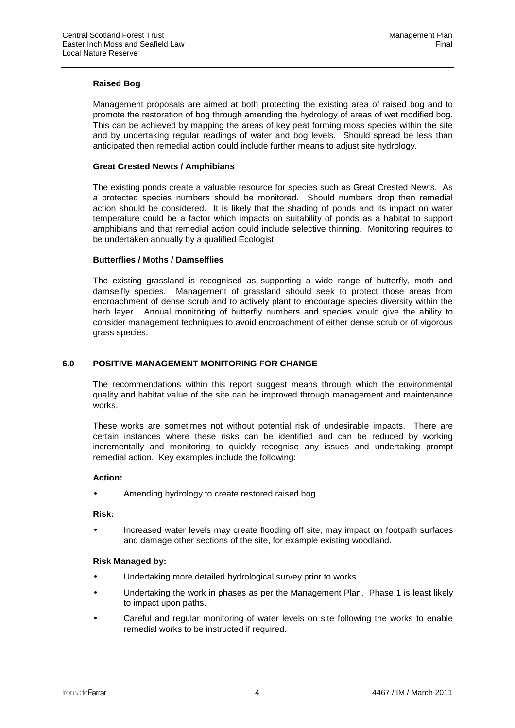# **Raised Bog**

 Management proposals are aimed at both protecting the existing area of raised bog and to promote the restoration of bog through amending the hydrology of areas of wet modified bog. This can be achieved by mapping the areas of key peat forming moss species within the site and by undertaking regular readings of water and bog levels. Should spread be less than anticipated then remedial action could include further means to adjust site hydrology.

# **Great Crested Newts / Amphibians**

 The existing ponds create a valuable resource for species such as Great Crested Newts. As a protected species numbers should be monitored. Should numbers drop then remedial action should be considered. It is likely that the shading of ponds and its impact on water temperature could be a factor which impacts on suitability of ponds as a habitat to support amphibians and that remedial action could include selective thinning. Monitoring requires to be undertaken annually by a qualified Ecologist.

## **Butterflies / Moths / Damselflies**

 The existing grassland is recognised as supporting a wide range of butterfly, moth and damselfly species. Management of grassland should seek to protect those areas from encroachment of dense scrub and to actively plant to encourage species diversity within the herb layer. Annual monitoring of butterfly numbers and species would give the ability to consider management techniques to avoid encroachment of either dense scrub or of vigorous grass species.

# **6.0 POSITIVE MANAGEMENT MONITORING FOR CHANGE**

 The recommendations within this report suggest means through which the environmental quality and habitat value of the site can be improved through management and maintenance works.

 These works are sometimes not without potential risk of undesirable impacts. There are certain instances where these risks can be identified and can be reduced by working incrementally and monitoring to quickly recognise any issues and undertaking prompt remedial action. Key examples include the following:

#### **Action:**

Amending hydrology to create restored raised bog.

#### **Risk:**

• Increased water levels may create flooding off site, may impact on footpath surfaces and damage other sections of the site, for example existing woodland.

#### **Risk Managed by:**

- Undertaking more detailed hydrological survey prior to works.
- Undertaking the work in phases as per the Management Plan. Phase 1 is least likely to impact upon paths.
- Careful and regular monitoring of water levels on site following the works to enable remedial works to be instructed if required.